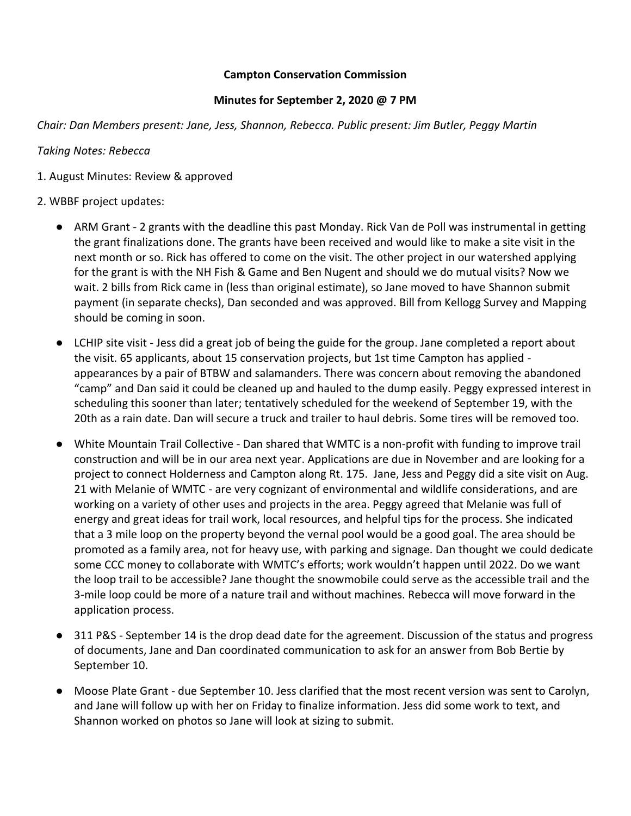## **Campton Conservation Commission**

## **Minutes for September 2, 2020 @ 7 PM**

*Chair: Dan Members present: Jane, Jess, Shannon, Rebecca. Public present: Jim Butler, Peggy Martin*

*Taking Notes: Rebecca*

1. August Minutes: Review & approved

## 2. WBBF project updates:

- ARM Grant 2 grants with the deadline this past Monday. Rick Van de Poll was instrumental in getting the grant finalizations done. The grants have been received and would like to make a site visit in the next month or so. Rick has offered to come on the visit. The other project in our watershed applying for the grant is with the NH Fish & Game and Ben Nugent and should we do mutual visits? Now we wait. 2 bills from Rick came in (less than original estimate), so Jane moved to have Shannon submit payment (in separate checks), Dan seconded and was approved. Bill from Kellogg Survey and Mapping should be coming in soon.
- LCHIP site visit Jess did a great job of being the guide for the group. Jane completed a report about the visit. 65 applicants, about 15 conservation projects, but 1st time Campton has applied appearances by a pair of BTBW and salamanders. There was concern about removing the abandoned "camp" and Dan said it could be cleaned up and hauled to the dump easily. Peggy expressed interest in scheduling this sooner than later; tentatively scheduled for the weekend of September 19, with the 20th as a rain date. Dan will secure a truck and trailer to haul debris. Some tires will be removed too.
- White Mountain Trail Collective Dan shared that WMTC is a non-profit with funding to improve trail construction and will be in our area next year. Applications are due in November and are looking for a project to connect Holderness and Campton along Rt. 175. Jane, Jess and Peggy did a site visit on Aug. 21 with Melanie of WMTC - are very cognizant of environmental and wildlife considerations, and are working on a variety of other uses and projects in the area. Peggy agreed that Melanie was full of energy and great ideas for trail work, local resources, and helpful tips for the process. She indicated that a 3 mile loop on the property beyond the vernal pool would be a good goal. The area should be promoted as a family area, not for heavy use, with parking and signage. Dan thought we could dedicate some CCC money to collaborate with WMTC's efforts; work wouldn't happen until 2022. Do we want the loop trail to be accessible? Jane thought the snowmobile could serve as the accessible trail and the 3-mile loop could be more of a nature trail and without machines. Rebecca will move forward in the application process.
- 311 P&S September 14 is the drop dead date for the agreement. Discussion of the status and progress of documents, Jane and Dan coordinated communication to ask for an answer from Bob Bertie by September 10.
- Moose Plate Grant due September 10. Jess clarified that the most recent version was sent to Carolyn, and Jane will follow up with her on Friday to finalize information. Jess did some work to text, and Shannon worked on photos so Jane will look at sizing to submit.